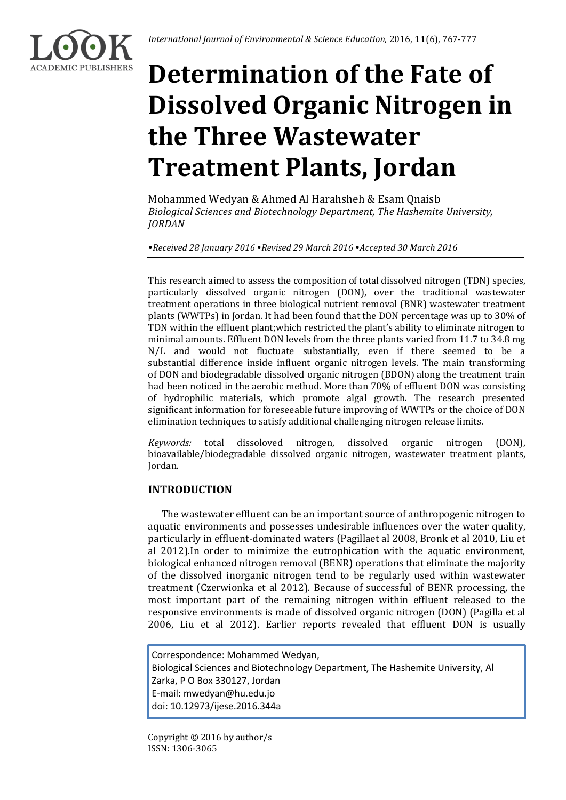

# **Determination of the Fate of Dissolved Organic Nitrogen in the Three Wastewater Treatment Plants, Jordan**

Mohammed Wedyan & Ahmed Al Harahsheh & Esam Qnaisb *Biological Sciences and Biotechnology Department, The Hashemite University, JORDAN*

*Received 28 January 2016 Revised 29 March 2016 Accepted 30 March 2016*

This research aimed to assess the composition of total dissolved nitrogen (TDN) species, particularly dissolved organic nitrogen (DON), over the traditional wastewater treatment operations in three biological nutrient removal (BNR) wastewater treatment plants (WWTPs) in Jordan. It had been found that the DON percentage was up to 30% of TDN within the effluent plant;which restricted the plant's ability to eliminate nitrogen to minimal amounts. Effluent DON levels from the three plants varied from 11.7 to 34.8 mg N/L and would not fluctuate substantially, even if there seemed to be a substantial difference inside influent organic nitrogen levels. The main transforming of DON and biodegradable dissolved organic nitrogen (BDON) along the treatment train had been noticed in the aerobic method. More than 70% of effluent DON was consisting of hydrophilic materials, which promote algal growth. The research presented significant information for foreseeable future improving of WWTPs or the choice of DON elimination techniques to satisfy additional challenging nitrogen release limits.

*Keywords:* total dissoloved nitrogen, dissolved organic nitrogen (DON), bioavailable/biodegradable dissolved organic nitrogen, wastewater treatment plants, Jordan.

# **INTRODUCTION**

The wastewater effluent can be an important source of anthropogenic nitrogen to aquatic environments and possesses undesirable influences over the water quality, particularly in effluent-dominated waters (Pagillaet al 2008, Bronk et al 2010, Liu et al 2012).In order to minimize the eutrophication with the aquatic environment, biological enhanced nitrogen removal (BENR) operations that eliminate the majority of the dissolved inorganic nitrogen tend to be regularly used within wastewater treatment (Czerwionka et al 2012). Because of successful of BENR processing, the most important part of the remaining nitrogen within effluent released to the responsive environments is made of dissolved organic nitrogen (DON) (Pagilla et al 2006, Liu et al 2012). Earlier reports revealed that effluent DON is usually

Correspondence: Mohammed Wedyan, Biological Sciences and Biotechnology Department, The Hashemite University, Al Zarka, P O Box 330127, Jordan E-mail: mwedyan@hu.edu.jo doi: 10.12973/ijese.2016.344a

Copyright © 2016 by author/s ISSN: 1306-3065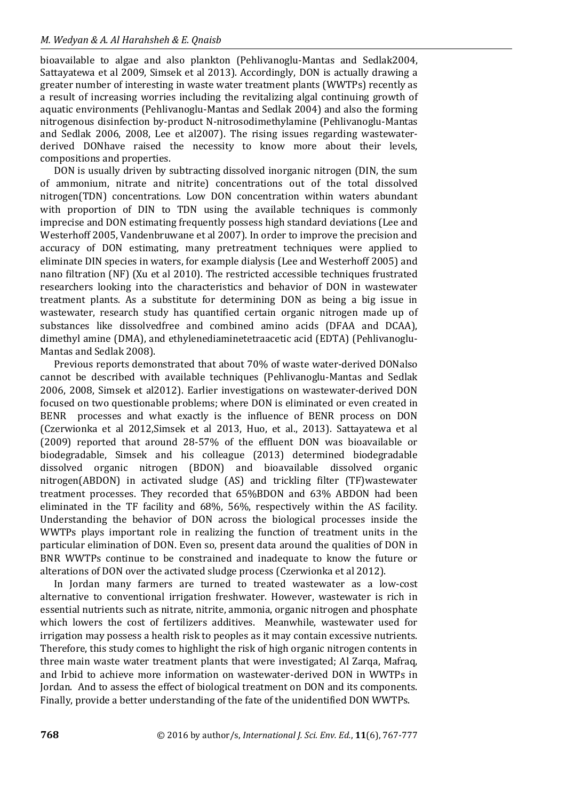#### *M. Wedyan & A. Al Harahsheh & E. Qnaisb*

bioavailable to algae and also plankton (Pehlivanoglu-Mantas and Sedlak2004, Sattayatewa et al 2009, Simsek et al 2013). Accordingly, DON is actually drawing a greater number of interesting in waste water treatment plants (WWTPs) recently as a result of increasing worries including the revitalizing algal continuing growth of aquatic environments (Pehlivanoglu-Mantas and Sedlak 2004) and also the forming nitrogenous disinfection by-product N-nitrosodimethylamine (Pehlivanoglu-Mantas and Sedlak 2006, 2008, Lee et al2007). The rising issues regarding wastewaterderived DONhave raised the necessity to know more about their levels, compositions and properties.

DON is usually driven by subtracting dissolved inorganic nitrogen (DIN, the sum of ammonium, nitrate and nitrite) concentrations out of the total dissolved nitrogen(TDN) concentrations. Low DON concentration within waters abundant with proportion of DIN to TDN using the available techniques is commonly imprecise and DON estimating frequently possess high standard deviations (Lee and Westerhoff 2005, Vandenbruwane et al 2007). In order to improve the precision and accuracy of DON estimating, many pretreatment techniques were applied to eliminate DIN species in waters, for example dialysis (Lee and Westerhoff 2005) and nano filtration (NF) (Xu et al 2010). The restricted accessible techniques frustrated researchers looking into the characteristics and behavior of DON in wastewater treatment plants. As a substitute for determining DON as being a big issue in wastewater, research study has quantified certain organic nitrogen made up of substances like dissolvedfree and combined amino acids (DFAA and DCAA), dimethyl amine (DMA), and ethylenediaminetetraacetic acid (EDTA) (Pehlivanoglu-Mantas and Sedlak 2008).

Previous reports demonstrated that about 70% of waste water-derived DONalso cannot be described with available techniques (Pehlivanoglu-Mantas and Sedlak 2006, 2008, Simsek et al2012). Earlier investigations on wastewater-derived DON focused on two questionable problems; where DON is eliminated or even created in BENR processes and what exactly is the influence of BENR process on DON (Czerwionka et al 2012,Simsek et al 2013, Huo, et al., 2013). Sattayatewa et al (2009) reported that around 28-57% of the effluent DON was bioavailable or biodegradable, Simsek and his colleague (2013) determined biodegradable dissolved organic nitrogen (BDON) and bioavailable dissolved organic nitrogen(ABDON) in activated sludge (AS) and trickling filter (TF)wastewater treatment processes. They recorded that 65%BDON and 63% ABDON had been eliminated in the TF facility and 68%, 56%, respectively within the AS facility. Understanding the behavior of DON across the biological processes inside the WWTPs plays important role in realizing the function of treatment units in the particular elimination of DON. Even so, present data around the qualities of DON in BNR WWTPs continue to be constrained and inadequate to know the future or alterations of DON over the activated sludge process (Czerwionka et al 2012).

In Jordan many farmers are turned to treated wastewater as a low-cost alternative to conventional irrigation freshwater. However, wastewater is rich in essential nutrients such as nitrate, nitrite, ammonia, organic nitrogen and phosphate which lowers the cost of fertilizers additives. Meanwhile, wastewater used for irrigation may possess a health risk to peoples as it may contain excessive nutrients. Therefore, this study comes to highlight the risk of high organic nitrogen contents in three main waste water treatment plants that were investigated; Al Zarqa, Mafraq, and Irbid to achieve more information on wastewater-derived DON in WWTPs in Jordan. And to assess the effect of biological treatment on DON and its components. Finally, provide a better understanding of the fate of the unidentified DON WWTPs.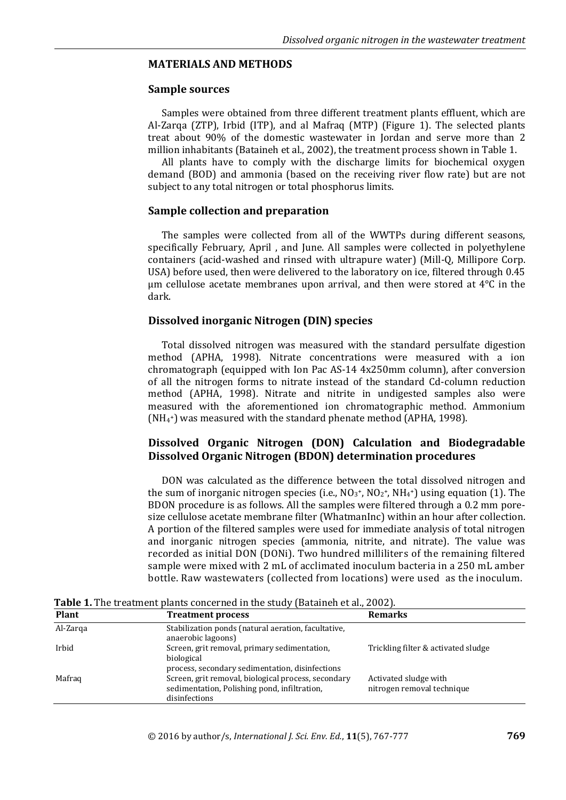## **MATERIALS AND METHODS**

#### **Sample sources**

Samples were obtained from three different treatment plants effluent, which are Al-Zarqa (ZTP), Irbid (ITP), and al Mafraq (MTP) (Figure 1). The selected plants treat about 90% of the domestic wastewater in Jordan and serve more than 2 million inhabitants (Bataineh et al., 2002), the treatment process shown in Table 1.

All plants have to comply with the discharge limits for biochemical oxygen demand (BOD) and ammonia (based on the receiving river flow rate) but are not subject to any total nitrogen or total phosphorus limits.

## **Sample collection and preparation**

The samples were collected from all of the WWTPs during different seasons, specifically February, April , and June. All samples were collected in polyethylene containers (acid-washed and rinsed with ultrapure water) (Mill-Q, Millipore Corp. USA) before used, then were delivered to the laboratory on ice, filtered through 0.45 μm cellulose acetate membranes upon arrival, and then were stored at  $4^{\circ}$ C in the dark.

# **Dissolved inorganic Nitrogen (DIN) species**

Total dissolved nitrogen was measured with the standard persulfate digestion method (APHA, 1998). Nitrate concentrations were measured with a ion chromatograph (equipped with Ion Pac AS-14 4x250mm column), after conversion of all the nitrogen forms to nitrate instead of the standard Cd-column reduction method (APHA, 1998). Nitrate and nitrite in undigested samples also were measured with the aforementioned ion chromatographic method. Ammonium (NH<sup>4</sup> <sup>+</sup>) was measured with the standard phenate method (APHA, 1998).

# **Dissolved Organic Nitrogen (DON) Calculation and Biodegradable Dissolved Organic Nitrogen (BDON) determination procedures**

DON was calculated as the difference between the total dissolved nitrogen and the sum of inorganic nitrogen species (i.e.,  $NO<sub>3</sub>$ <sup>+</sup>,  $NO<sub>2</sub>$ <sup>+</sup>,  $NH<sub>4</sub>$ <sup>+</sup>) using equation (1). The BDON procedure is as follows. All the samples were filtered through a 0.2 mm poresize cellulose acetate membrane filter (WhatmanInc) within an hour after collection. A portion of the filtered samples were used for immediate analysis of total nitrogen and inorganic nitrogen species (ammonia, nitrite, and nitrate). The value was recorded as initial DON (DONi). Two hundred milliliters of the remaining filtered sample were mixed with 2 mL of acclimated inoculum bacteria in a 250 mL amber bottle. Raw wastewaters (collected from locations) were used as the inoculum.

| <b>Plant</b> | <b>Treatment process</b>                                                                                             | <b>Remarks</b>                                      |
|--------------|----------------------------------------------------------------------------------------------------------------------|-----------------------------------------------------|
| Al-Zarqa     | Stabilization ponds (natural aeration, facultative,<br>anaerobic lagoons)                                            |                                                     |
| Irbid        | Screen, grit removal, primary sedimentation,<br>biological<br>process, secondary sedimentation, disinfections        | Trickling filter & activated sludge                 |
| Mafrag       | Screen, grit removal, biological process, secondary<br>sedimentation, Polishing pond, infiltration,<br>disinfections | Activated sludge with<br>nitrogen removal technique |

**Table 1.** The treatment plants concerned in the study (Bataineh et al., 2002).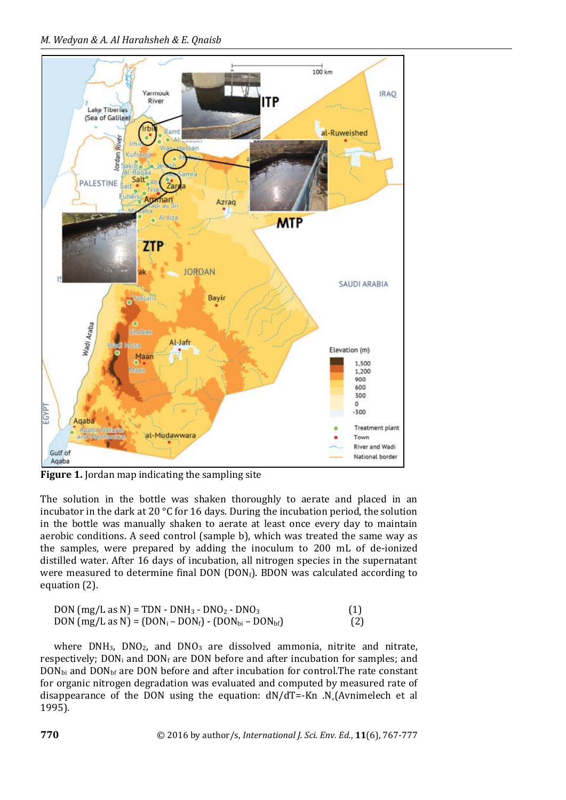

**Figure 1.** Jordan map indicating the sampling site

The solution in the bottle was shaken thoroughly to aerate and placed in an incubator in the dark at 20 °C for 16 days. During the incubation period, the solution in the bottle was manually shaken to aerate at least once every day to maintain aerobic conditions. A seed control (sample b), which was treated the same way as the samples, were prepared by adding the inoculum to 200 mL of de-ionized distilled water. After 16 days of incubation, all nitrogen species in the supernatant were measured to determine final DON  $(DON<sub>f</sub>)$ . BDON was calculated according to equation (2).

| DON $(mg/L as N) = TDN - DNH_3 - DNO_2 - DNO_3$             |     |
|-------------------------------------------------------------|-----|
| DON $(mg/L as N) = (DOM_i - DON_f) - (DON_{bi} - DON_{bf})$ | (2) |

where  $DNH_3$ ,  $DNO_2$ , and  $DNO_3$  are dissolved ammonia, nitrite and nitrate, respectively;  $DON_i$  and  $DON_f$  are DON before and after incubation for samples; and  $DOM_{bi}$  and  $DOM_{bf}$  are DON before and after incubation for control. The rate constant for organic nitrogen degradation was evaluated and computed by measured rate of disappearance of the DON using the equation:  $dN/dT = Kn$ . N<sub>a</sub> $(Av$ nimelech et al 1995).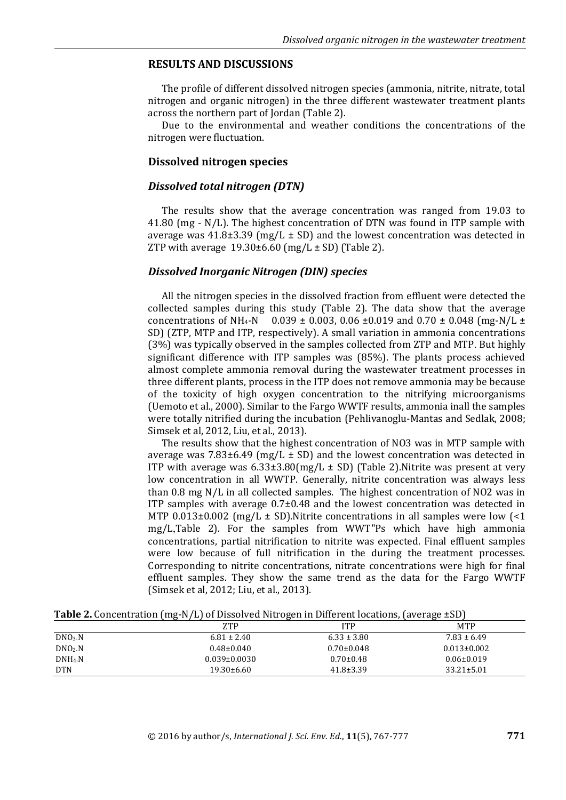## **RESULTS AND DISCUSSIONS**

The profile of different dissolved nitrogen species (ammonia, nitrite, nitrate, total nitrogen and organic nitrogen) in the three different wastewater treatment plants across the northern part of Jordan (Table 2).

Due to the environmental and weather conditions the concentrations of the nitrogen were fluctuation.

#### **Dissolved nitrogen species**

#### *Dissolved total nitrogen (DTN)*

The results show that the average concentration was ranged from 19.03 to 41.80 (mg - N/L). The highest concentration of DTN was found in ITP sample with average was  $41.8\pm3.39$  (mg/L  $\pm$  SD) and the lowest concentration was detected in ZTP with average  $19.30\pm6.60$  (mg/L  $\pm$  SD) (Table 2).

#### *Dissolved Inorganic Nitrogen (DIN) species*

All the nitrogen species in the dissolved fraction from effluent were detected the collected samples during this study (Table 2). The data show that the average concentrations of NH<sub>4</sub>-N 0.039  $\pm$  0.003, 0.06  $\pm$ 0.019 and 0.70  $\pm$  0.048 (mg-N/L  $\pm$ SD) (ZTP, MTP and ITP, respectively). A small variation in ammonia concentrations (3%) was typically observed in the samples collected from ZTP and MTP. But highly significant difference with ITP samples was (85%). The plants process achieved almost complete ammonia removal during the wastewater treatment processes in three different plants, process in the ITP does not remove ammonia may be because of the toxicity of high oxygen concentration to the nitrifying microorganisms (Uemoto et al., 2000). Similar to the Fargo WWTF results, ammonia inall the samples were totally nitrified during the incubation (Pehlivanoglu-Mantas and Sedlak, 2008; Simsek et al, 2012, Liu, et al., 2013).

The results show that the highest concentration of NO3 was in MTP sample with average was 7.83 $\pm$ 6.49 (mg/L  $\pm$  SD) and the lowest concentration was detected in ITP with average was  $6.33\pm3.80\,\mathrm{(mg/L\pm SD)}$  (Table 2). Nitrite was present at very low concentration in all WWTP. Generally, nitrite concentration was always less than 0.8 mg N/L in all collected samples. The highest concentration of NO2 was in ITP samples with average 0.7±0.48 and the lowest concentration was detected in MTP  $0.013\pm0.002$  (mg/L  $\pm$  SD). Nitrite concentrations in all samples were low (<1) mg/L,Table 2). For the samples from WWT"Ps which have high ammonia concentrations, partial nitrification to nitrite was expected. Final effluent samples were low because of full nitrification in the during the treatment processes. Corresponding to nitrite concentrations, nitrate concentrations were high for final effluent samples. They show the same trend as the data for the Fargo WWTF (Simsek et al, 2012; Liu, et al., 2013).

**Table 2.** Concentration (mg-N/L) of Dissolved Nitrogen in Different locations, (average ±SD)

|            | <b>ZTP</b>         | <b>ITP</b>       | <b>MTP</b>        |
|------------|--------------------|------------------|-------------------|
| DNA. N     | $6.81 \pm 2.40$    | $6.33 \pm 3.80$  | $7.83 \pm 6.49$   |
| $DNO2-N$   | $0.48 \pm 0.040$   | $0.70{\pm}0.048$ | $0.013 \pm 0.002$ |
| $DNH4-N$   | $0.039 \pm 0.0030$ | $0.70 \pm 0.48$  | $0.06 \pm 0.019$  |
| <b>DTN</b> | $19.30\pm 6.60$    | $41.8 \pm 3.39$  | $33.21 \pm 5.01$  |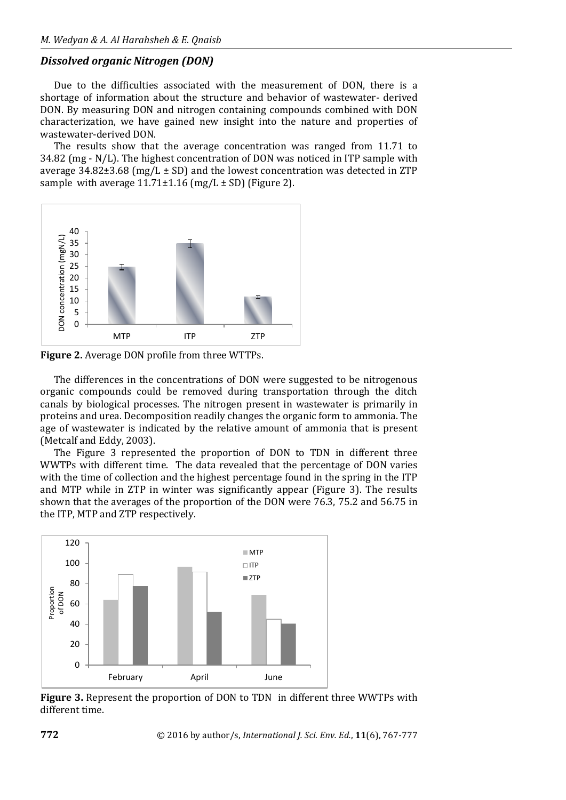#### *Dissolved organic Nitrogen (DON)*

Due to the difficulties associated with the measurement of DON, there is a shortage of information about the structure and behavior of wastewater- derived DON. By measuring DON and nitrogen containing compounds combined with DON characterization, we have gained new insight into the nature and properties of wastewater-derived DON.

The results show that the average concentration was ranged from 11.71 to 34.82 (mg - N/L). The highest concentration of DON was noticed in ITP sample with average  $34.82\pm3.68$  (mg/L  $\pm$  SD) and the lowest concentration was detected in ZTP sample with average  $11.71 \pm 1.16$  (mg/L  $\pm$  SD) (Figure 2).



**Figure 2.** Average DON profile from three WTTPs.

The differences in the concentrations of DON were suggested to be nitrogenous organic compounds could be removed during transportation through the ditch canals by biological processes. The nitrogen present in wastewater is primarily in proteins and urea. Decomposition readily changes the organic form to ammonia. The age of wastewater is indicated by the relative amount of ammonia that is present (Metcalf and Eddy, 2003).

The Figure 3 represented the proportion of DON to TDN in different three WWTPs with different time. The data revealed that the percentage of DON varies with the time of collection and the highest percentage found in the spring in the ITP and MTP while in ZTP in winter was significantly appear (Figure 3). The results shown that the averages of the proportion of the DON were 76.3, 75.2 and 56.75 in the ITP, MTP and ZTP respectively.



**Figure 3.** Represent the proportion of DON to TDN in different three WWTPs with different time.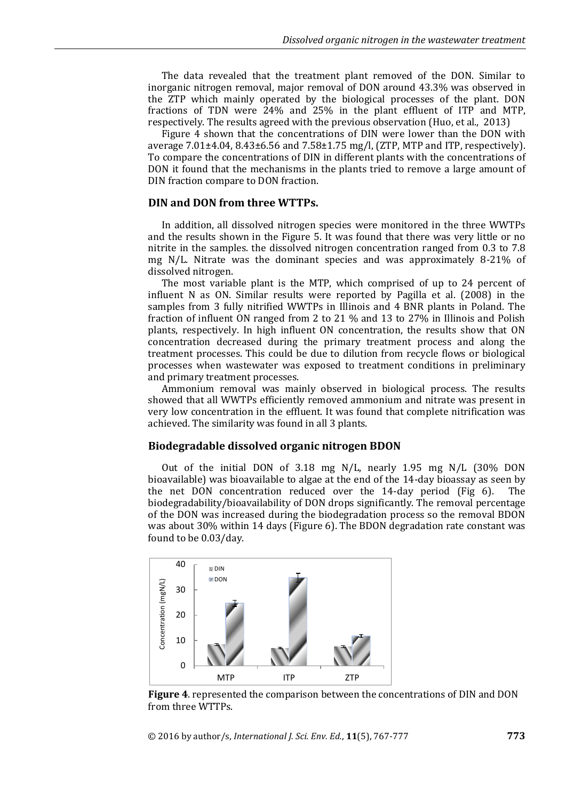The data revealed that the treatment plant removed of the DON. Similar to inorganic nitrogen removal, major removal of DON around 43.3% was observed in the ZTP which mainly operated by the biological processes of the plant. DON fractions of TDN were 24% and 25% in the plant effluent of ITP and MTP, respectively. The results agreed with the previous observation (Huo, et al., 2013)

Figure 4 shown that the concentrations of DIN were lower than the DON with average 7.01±4.04, 8.43±6.56 and 7.58±1.75 mg/l, (ZTP, MTP and ITP, respectively). To compare the concentrations of DIN in different plants with the concentrations of DON it found that the mechanisms in the plants tried to remove a large amount of DIN fraction compare to DON fraction.

#### **DIN and DON from three WTTPs.**

In addition, all dissolved nitrogen species were monitored in the three WWTPs and the results shown in the Figure 5. It was found that there was very little or no nitrite in the samples. the dissolved nitrogen concentration ranged from 0.3 to 7.8 mg N/L. Nitrate was the dominant species and was approximately 8-21% of dissolved nitrogen.

The most variable plant is the MTP, which comprised of up to 24 percent of influent N as ON. Similar results were reported by Pagilla et al. (2008) in the samples from 3 fully nitrified WWTPs in Illinois and 4 BNR plants in Poland. The fraction of influent ON ranged from 2 to 21 % and 13 to 27% in Illinois and Polish plants, respectively. In high influent ON concentration, the results show that ON concentration decreased during the primary treatment process and along the treatment processes. This could be due to dilution from recycle flows or biological processes when wastewater was exposed to treatment conditions in preliminary and primary treatment processes.

Ammonium removal was mainly observed in biological process. The results showed that all WWTPs efficiently removed ammonium and nitrate was present in very low concentration in the effluent. It was found that complete nitrification was achieved. The similarity was found in all 3 plants.

#### **Biodegradable dissolved organic nitrogen BDON**

Out of the initial DON of 3.18 mg N/L, nearly 1.95 mg N/L (30% DON bioavailable) was bioavailable to algae at the end of the 14-day bioassay as seen by the net DON concentration reduced over the 14-day period (Fig 6). The biodegradability/bioavailability of DON drops significantly. The removal percentage of the DON was increased during the biodegradation process so the removal BDON was about 30% within 14 days (Figure 6). The BDON degradation rate constant was found to be 0.03/day.



**Figure 4**. represented the comparison between the concentrations of DIN and DON from three WTTPs.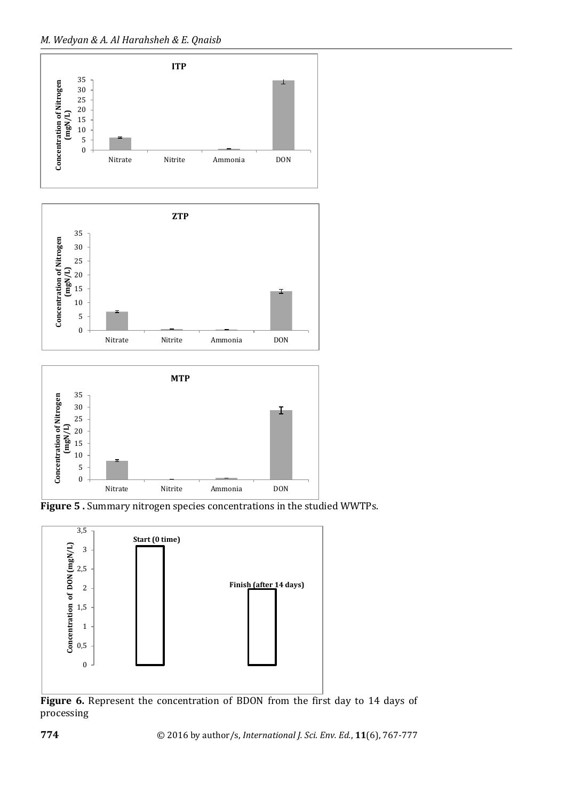



**Figure 5 .** Summary nitrogen species concentrations in the studied WWTPs.



**Figure 6.** Represent the concentration of BDON from the first day to 14 days of processing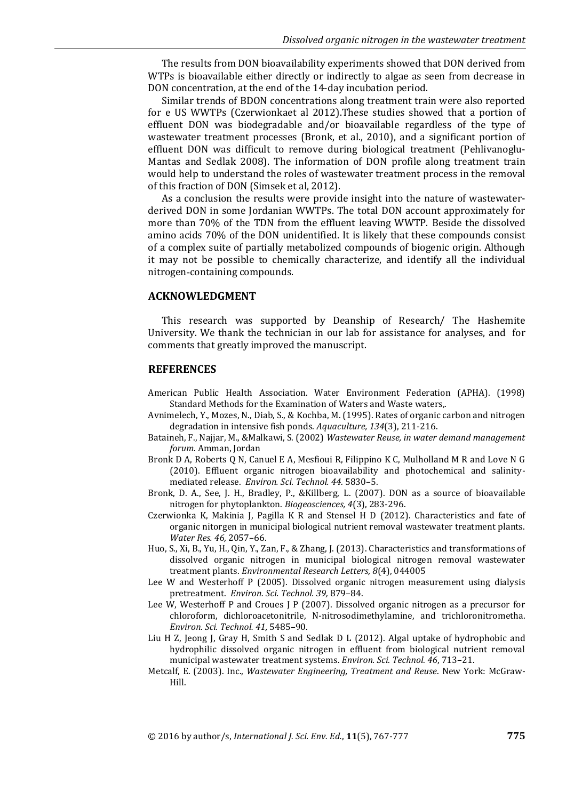The results from DON bioavailability experiments showed that DON derived from WTPs is bioavailable either directly or indirectly to algae as seen from decrease in DON concentration, at the end of the 14-day incubation period.

Similar trends of BDON concentrations along treatment train were also reported for e US WWTPs (Czerwionkaet al 2012).These studies showed that a portion of effluent DON was biodegradable and/or bioavailable regardless of the type of wastewater treatment processes (Bronk, et al., 2010), and a significant portion of effluent DON was difficult to remove during biological treatment (Pehlivanoglu-Mantas and Sedlak 2008). The information of DON profile along treatment train would help to understand the roles of wastewater treatment process in the removal of this fraction of DON (Simsek et al, 2012).

As a conclusion the results were provide insight into the nature of wastewaterderived DON in some Jordanian WWTPs. The total DON account approximately for more than 70% of the TDN from the effluent leaving WWTP. Beside the dissolved amino acids 70% of the DON unidentified. It is likely that these compounds consist of a complex suite of partially metabolized compounds of biogenic origin. Although it may not be possible to chemically characterize, and identify all the individual nitrogen-containing compounds.

#### **ACKNOWLEDGMENT**

This research was supported by Deanship of Research/ The Hashemite University. We thank the technician in our lab for assistance for analyses, and for comments that greatly improved the manuscript.

#### **REFERENCES**

- American Public Health Association. Water Environment Federation (APHA). (1998) Standard Methods for the Examination of Waters and Waste waters,.
- Avnimelech, Y., Mozes, N., Diab, S., & Kochba, M. (1995). Rates of organic carbon and nitrogen degradation in intensive fish ponds. *Aquaculture, 134*(3), 211-216.
- Bataineh, F., Najjar, M., &Malkawi, S. (2002) *Wastewater Reuse, in water demand management forum.* Amman, Jordan
- Bronk D A, Roberts Q N, Canuel E A, Mesfioui R, Filippino K C, Mulholland M R and Love N G (2010). Effluent organic nitrogen bioavailability and photochemical and salinitymediated release. *Environ. Sci. Technol. 44.* 5830–5.
- Bronk, D. A., See, J. H., Bradley, P., &Killberg, L. (2007). DON as a source of bioavailable nitrogen for phytoplankton. *Biogeosciences, 4*(3), 283-296.
- Czerwionka K, Makinia J, Pagilla K R and Stensel H D (2012). Characteristics and fate of organic nitorgen in municipal biological nutrient removal wastewater treatment plants. *Water Res. 46,* 2057–66.
- Huo, S., Xi, B., Yu, H., Qin, Y., Zan, F., & Zhang, J. (2013). Characteristics and transformations of dissolved organic nitrogen in municipal biological nitrogen removal wastewater treatment plants. *Environmental Research Letters, 8*(4), 044005
- Lee W and Westerhoff P (2005). Dissolved organic nitrogen measurement using dialysis pretreatment. *Environ. Sci. Technol. 39,* 879–84.
- Lee W, Westerhoff P and Croues J P (2007). Dissolved organic nitrogen as a precursor for chloroform, dichloroacetonitrile, N-nitrosodimethylamine, and trichloronitrometha. *Environ. Sci. Technol. 41,* 5485–90.
- Liu H Z, Jeong J, Gray H, Smith S and Sedlak D L (2012). Algal uptake of hydrophobic and hydrophilic dissolved organic nitrogen in effluent from biological nutrient removal municipal wastewater treatment systems. *Environ. Sci. Technol. 46*, 713–21.
- Metcalf, E. (2003). Inc., *Wastewater Engineering, Treatment and Reuse*. New York: McGraw-Hill.